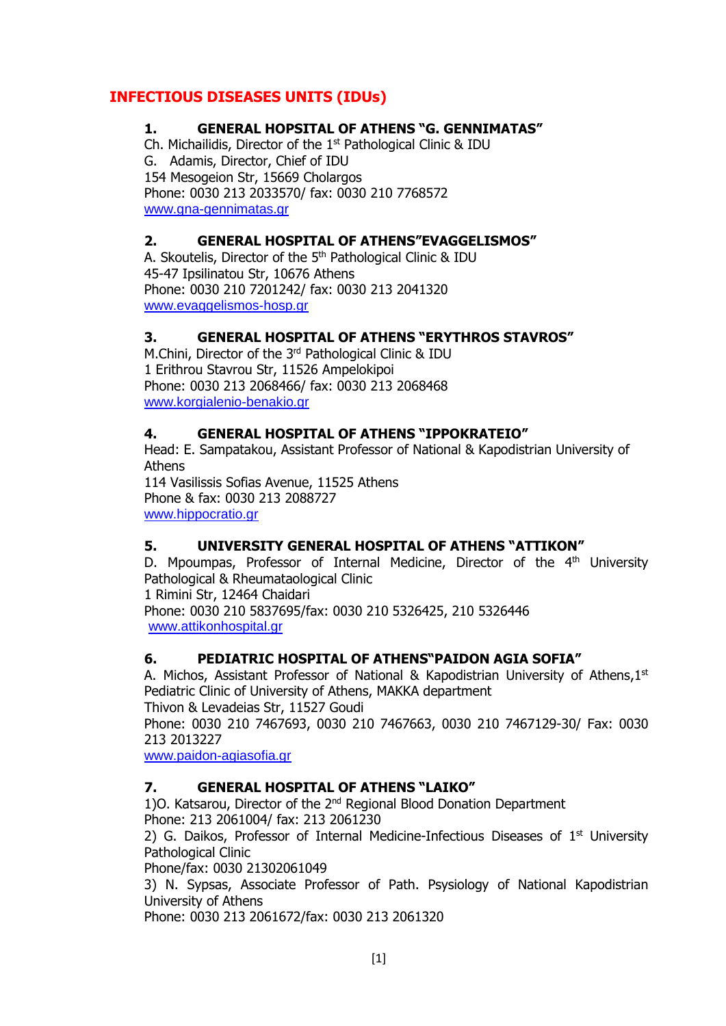# **INFECTIOUS DISEASES UNITS (IDUs)**

## **1. GENERAL HOPSITAL OF ATHENS "G. GENNIMATAS"**

Ch. Michailidis, Director of the 1<sup>st</sup> Pathological Clinic & IDU G. Adamis, Director, Chief of IDU 154 Mesogeion Str, 15669 Cholargos Phone: 0030 213 2033570/ fax: 0030 210 7768572 [www.gna-gennimatas.gr](http://www.gna-gennimatas.gr/)

## **2. GENERAL HOSPITAL OF ATHENS"EVAGGELISMOS"**

A. Skoutelis, Director of the 5<sup>th</sup> Pathological Clinic & IDU 45-47 Ipsilinatou Str, 10676 Athens Phone: 0030 210 7201242/ fax: 0030 213 2041320 [www.evaggelismos-hosp.gr](http://www.evaggelismos-hosp.gr/)

## **3. GENERAL HOSPITAL OF ATHENS "ERYTHROS STAVROS"**

M.Chini, Director of the 3<sup>rd</sup> Pathological Clinic & IDU 1 Erithrou Stavrou Str, 11526 Ampelokipoi Phone: 0030 213 2068466/ fax: 0030 213 2068468 [www.korgialenio-benakio.gr](http://www.korgialenio-benakio.gr/)

### **4. GENERAL HOSPITAL OF ATHENS "IPPOKRATEIO"**

Head: E. Sampatakou, Assistant Professor of National & Kapodistrian University of Athens

114 Vasilissis Sofias Avenue, 11525 Athens Phone & fax: 0030 213 2088727 [www.hippocratio.gr](http://www.hippocratio.gr/)

### **5. UNIVERSITY GENERAL HOSPITAL OF ATHENS "ATTIKON"**

D. Mpoumpas, Professor of Internal Medicine, Director of the 4<sup>th</sup> University Pathological & Rheumataological Clinic 1 Rimini Str, 12464 Chaidari

Phone: 0030 210 5837695/fax: 0030 210 5326425, 210 5326446 [www.attikonhospital.gr](http://www.attikonhospital.gr/)

### **6. PEDIATRIC HOSPITAL OF ATHENS"PAIDON AGIA SOFIA"**

A. Michos, Assistant Professor of National & Kapodistrian University of Athens, 1st Pediatric Clinic of University of Athens, MAKKA department

Thivon & Levadeias Str, 11527 Goudi

Phone: 0030 210 7467693, 0030 210 7467663, 0030 210 7467129-30/ Fax: 0030 213 2013227

[www.paidon-agiasofia.gr](http://www.paidon-agiasofia.gr/)

### **7. GENERAL HOSPITAL OF ATHENS "LAIKO"**

1)O. Katsarou, Director of the 2nd Regional Blood Donation Department Phone: 213 2061004/ fax: 213 2061230

2) G. Daikos, Professor of Internal Medicine-Infectious Diseases of  $1<sup>st</sup>$  University Pathological Clinic

Phone/fax: 0030 21302061049

3) N. Sypsas, Associate Professor of Path. Psysiology of National Kapodistrian University of Athens

Phone: 0030 213 2061672/fax: 0030 213 2061320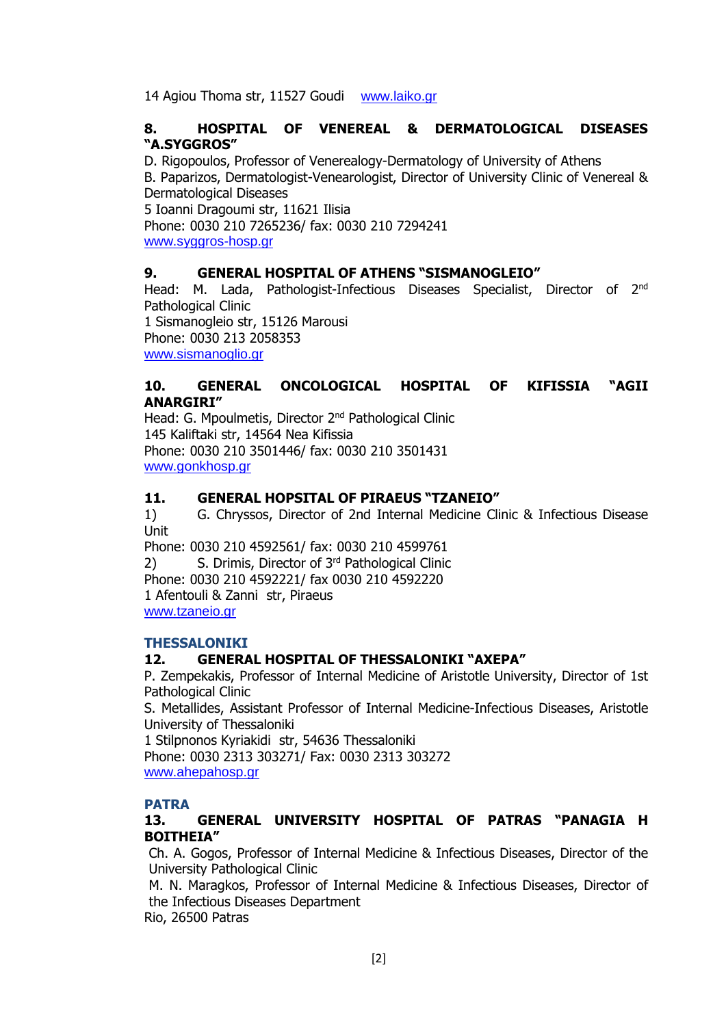14 Agiou Thoma str, 11527 Goudi [www.laiko.gr](http://www.laiko.gr/)

### **8. HOSPITAL OF VENEREAL & DERMATOLOGICAL DISEASES "A.SYGGROS"**

D. Rigopoulos, Professor of Venerealogy-Dermatology of University of Athens B. Paparizos, Dermatologist-Venearologist, Director of University Clinic of Venereal & Dermatological Diseases

5 Ioanni Dragoumi str, 11621 Ilisia Phone: 0030 210 7265236/ fax: 0030 210 7294241 [www.syggros-hosp.gr](http://www.syggros-hosp.gr/)

### **9. GENERAL HOSPITAL OF ATHENS "SISMANOGLEIO"**

Head: M. Lada, Pathologist-Infectious Diseases Specialist, Director of 2<sup>nd</sup> Pathological Clinic 1 Sismanogleio str, 15126 Marousi Phone: 0030 213 2058353

[www.sismanoglio.gr](http://www.sismanoglio.gr/)

### **10. GENERAL ONCOLOGICAL HOSPITAL OF KIFISSIA "AGII ANARGIRI"**

Head: G. Mpoulmetis, Director 2<sup>nd</sup> Pathological Clinic 145 Kaliftaki str, 14564 Nea Kifissia Phone: 0030 210 3501446/ fax: 0030 210 3501431 [www.gonkhosp.gr](http://www.gonkhosp.gr/)

#### **11. GENERAL HOPSITAL OF PIRAEUS "TZANEIO"**

1) G. Chryssos, Director of 2nd Internal Medicine Clinic & Infectious Disease Unit

Phone: 0030 210 4592561/ fax: 0030 210 4599761 2) S. Drimis, Director of 3<sup>rd</sup> Pathological Clinic Phone: 0030 210 4592221/ fax 0030 210 4592220 1 Afentouli & Zanni str, Piraeus [www.tzaneio.gr](http://www.tzaneio.gr/)

#### **THESSALONIKI**

#### **12. GENERAL HOSPITAL OF THESSALONIKI "AXEPA"**

P. Zempekakis, Professor of Internal Medicine of Aristotle University, Director of 1st Pathological Clinic

S. Metallides, Assistant Professor of Internal Medicine-Infectious Diseases, Aristotle University of Thessaloniki

1 Stilpnonos Kyriakidi str, 54636 Thessaloniki

Phone: 0030 2313 303271/ Fax: 0030 2313 303272 [www.ahepahosp.gr](http://www.ahepahosp.gr/)

#### **PATRA**

### **13. GENERAL UNIVERSITY HOSPITAL OF PATRAS "PANAGIA H BOITHEIA"**

Ch. A. Gogos, Professor of Internal Medicine & Infectious Diseases, Director of the University Pathological Clinic

Μ. Ν. Μaragkos, Professor of Internal Medicine & Infectious Diseases, Director of the Infectious Diseases Department

Rio, 26500 Patras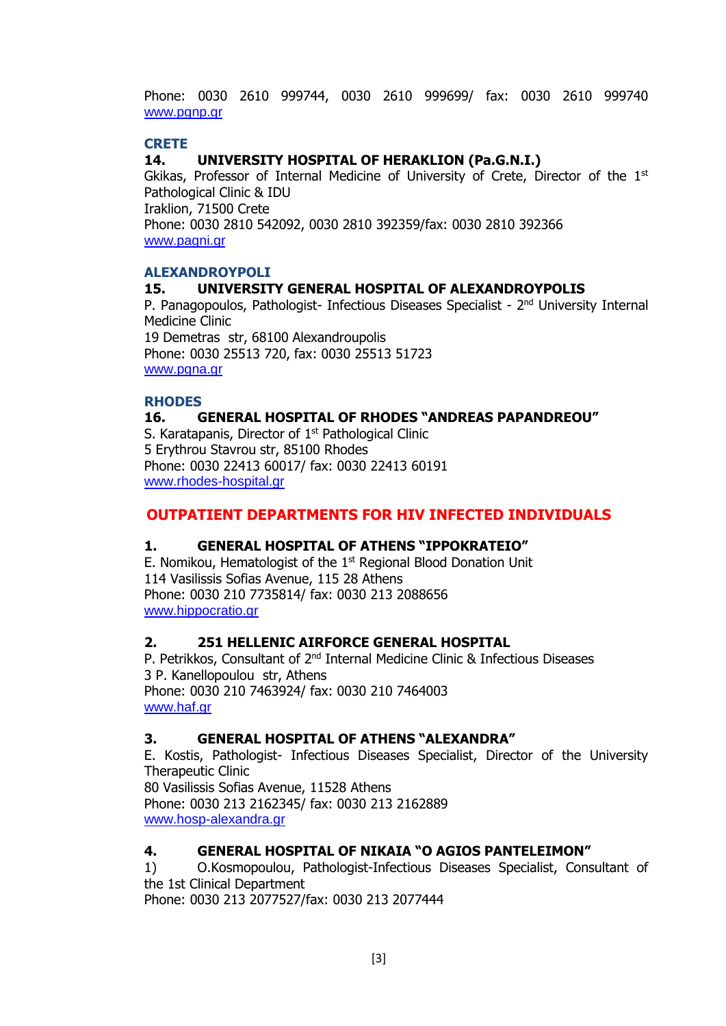Phone: 0030 2610 999744, 0030 2610 999699/ fax: 0030 2610 999740 [www.pgnp.gr](http://www.pgnp.gr/)

### **CRETE**

### **14. UNIVERSITY HOSPITAL OF HERAKLION (Pa.G.N.I.)**

Gkikas, Professor of Internal Medicine of University of Crete, Director of the 1<sup>st</sup> Pathological Clinic & IDU Iraklion, 71500 Crete Phone: 0030 2810 542092, 0030 2810 392359/fax: 0030 2810 392366 [www.pagni.gr](http://www.pagni.gr/)

#### **ALEXANDROYPOLI**

#### **15. UNIVERSITY GENERAL HOSPITAL OF ALEXANDROYPOLIS**

P. Panagopoulos, Pathologist- Infectious Diseases Specialist - 2<sup>nd</sup> University Internal Medicine Clinic

19 Demetras str, 68100 Alexandroupolis Phone: 0030 25513 720, fax: 0030 25513 51723 [www.pgna.gr](http://www.pgna.gr/)

#### **RHODES**

#### **16. GENERAL HOSPITAL OF RHODES "ANDREAS PAPANDREOU"**

S. Karatapanis, Director of 1<sup>st</sup> Pathological Clinic 5 Erythrou Stavrou str, 85100 Rhodes Phone: 0030 22413 60017/ fax: 0030 22413 60191 [www.rhodes-hospital.gr](http://www.rhodes-hospital.gr/)

### **OUTPATIENT DEPARTMENTS FOR HIV INFECTED INDIVIDUALS**

#### **1. GENERAL HOSPITAL OF ATHENS "IPPOKRATEIO"**

E. Nomikou, Hematologist of the  $1<sup>st</sup>$  Regional Blood Donation Unit 114 Vasilissis Sofias Avenue, 115 28 Athens Phone: 0030 210 7735814/ fax: 0030 213 2088656 [www.hippocratio.gr](http://www.hippocratio.gr/)

#### **2. 251 HELLENIC AIRFORCE GENERAL HOSPITAL**

P. Petrikkos, Consultant of 2<sup>nd</sup> Internal Medicine Clinic & Infectious Diseases 3 P. Kanellopoulou str, Athens Phone: 0030 210 7463924/ fax: 0030 210 7464003 [www.haf.gr](http://www.haf.gr/)

#### **3. GENERAL HOSPITAL OF ATHENS "ALEXANDRA"**

E. Kostis, Pathologist- Infectious Diseases Specialist, Director of the University Therapeutic Clinic 80 Vasilissis Sofias Avenue, 11528 Athens Phone: 0030 213 2162345/ fax: 0030 213 2162889 [www.hosp-alexandra.gr](http://www.hosp-alexandra.gr/)

#### **4. GENERAL HOSPITAL OF NIKAIA "O AGIOS PANTELEIMON"**

1) O.Kosmopoulou, Pathologist-Infectious Diseases Specialist, Consultant of the 1st Clinical Department

Phone: 0030 213 2077527/fax: 0030 213 2077444